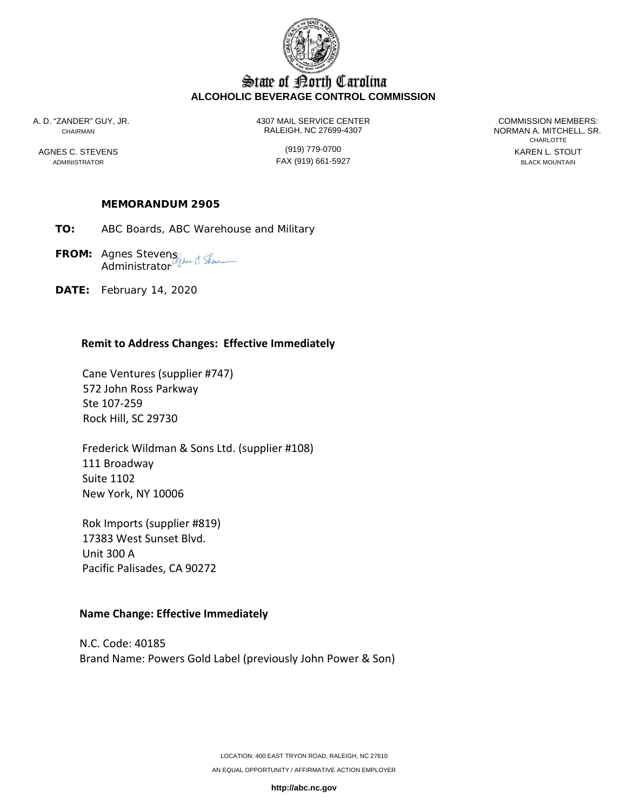

# State of Borth Carolina **ALCOHOLIC BEVERAGE CONTROL COMMISSION**

A. D. "ZANDER" GUY, JR. 4307 MAIL SERVICE CENTER COMMISSION MEMBERS: CHAIRMAN RALEIGH, NC 27699-4307 NORMAN A. MITCHELL, SR.

ADMINISTRATOR FAX (919) 661-5927 BLACK MOUNTAIN

**CHARLOTTE** AGNES C. STEVENS GENERAL STOUT (919) 779-0700

## **MEMORANDUM 2905**

- **TO:** ABC Boards, ABC Warehouse and Military
- **FROM:** Agnes Stevens **Administrator**
- **DATE:** February 14, 2020

#### **Remit to Address Changes: Effective Immediately**

 Cane Ventures (supplier #747) 572 John Ross Parkway Ste 107‐259 Rock Hill, SC 29730

 Frederick Wildman & Sons Ltd. (supplier #108) 111 Broadway Suite 1102 New York, NY 10006

 Rok Imports (supplier #819) 17383 West Sunset Blvd. Unit 300 A Pacific Palisades, CA 90272

#### **Name Change: Effective Immediately**

N.C. Code: 40185 Brand Name: Powers Gold Label (previously John Power & Son)